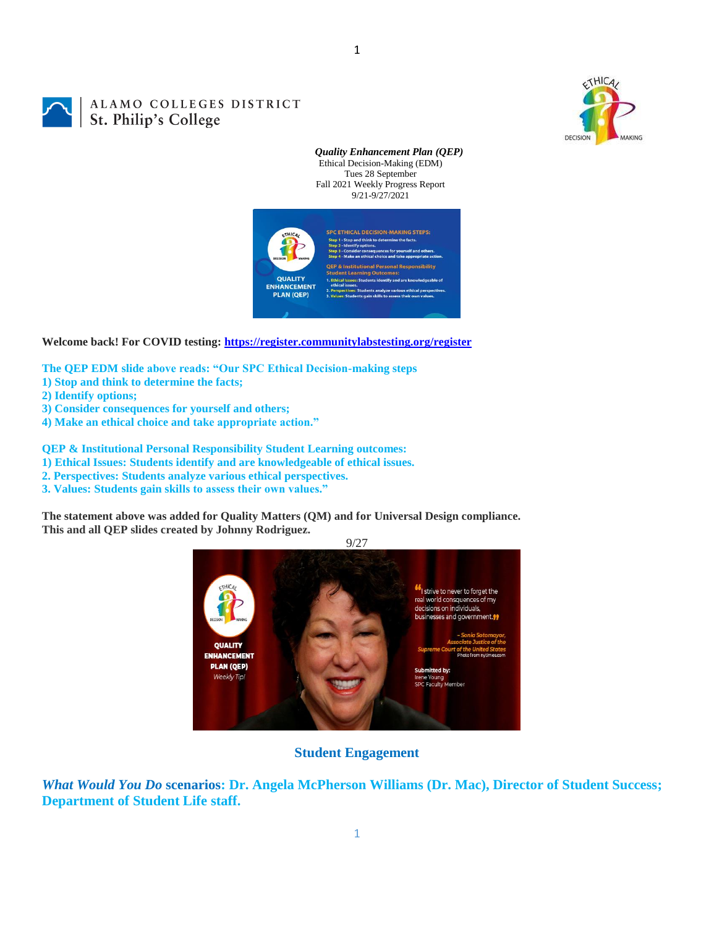

ALAMO COLLEGES DISTRICT St. Philip's College

> *Quality Enhancement Plan (QEP)* Ethical Decision-Making (EDM) Tues 28 September Fall 2021 Weekly Progress Report 9/21-9/27/2021



**Welcome back! For COVID testing:<https://register.communitylabstesting.org/register>**

**The QEP EDM slide above reads: "Our SPC Ethical Decision-making steps** 

- **1) Stop and think to determine the facts;**
- **2) Identify options;**
- **3) Consider consequences for yourself and others;**
- **4) Make an ethical choice and take appropriate action."**

**QEP & Institutional Personal Responsibility Student Learning outcomes:** 

**1) Ethical Issues: Students identify and are knowledgeable of ethical issues.** 

- **2. Perspectives: Students analyze various ethical perspectives.**
- **3. Values: Students gain skills to assess their own values."**

**The statement above was added for Quality Matters (QM) and for Universal Design compliance. This and all QEP slides created by Johnny Rodriguez.**



**Student Engagement**

*What Would You Do* **scenarios: Dr. Angela McPherson Williams (Dr. Mac), Director of Student Success; Department of Student Life staff.**

1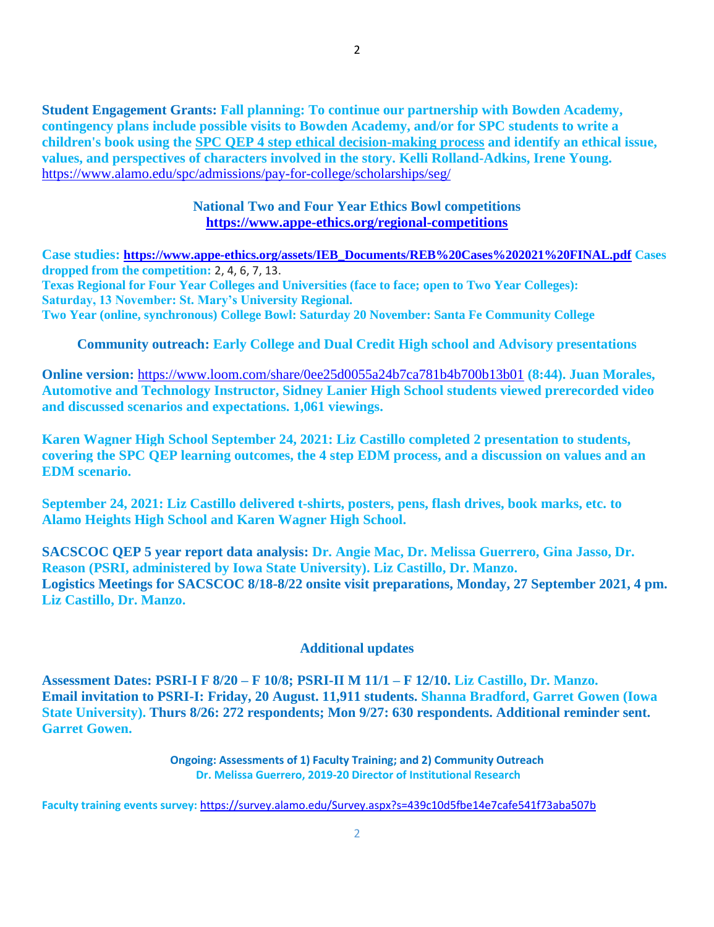**Student Engagement Grants: Fall planning: To continue our partnership with Bowden Academy, contingency plans include possible visits to Bowden Academy, and/or for SPC students to write a children's book using the [SPC QEP 4 step ethical decision-making process](https://mail.alamo.edu/owa/redir.aspx?REF=QPGGgOE-3HbbrbCAzqBFQWbtY3e2Gc0f0qSFld99-4hqZWSPr8DYCAFodHRwczovL3d3dy5hbGFtby5lZHUvbGluay8zYjg5NjQxMTY3MGY0YTZlYjU2MzNkNGFmNjE1OTBjNC5hc3B4) and identify an ethical issue, values, and perspectives of characters involved in the story. Kelli Rolland-Adkins, Irene Young.** <https://www.alamo.edu/spc/admissions/pay-for-college/scholarships/seg/>

## **National Two and Four Year Ethics Bowl competitions <https://www.appe-ethics.org/regional-competitions>**

**Case studies: [https://www.appe-ethics.org/assets/IEB\\_Documents/REB%20Cases%202021%20FINAL.pdf](https://www.appe-ethics.org/assets/IEB_Documents/REB%20Cases%202021%20FINAL.pdf) Cases dropped from the competition:** 2, 4, 6, 7, 13. **Texas Regional for Four Year Colleges and Universities (face to face; open to Two Year Colleges): Saturday, 13 November: St. Mary's University Regional. Two Year (online, synchronous) College Bowl: Saturday 20 November: Santa Fe Community College**

**Community outreach: Early College and Dual Credit High school and Advisory presentations**

**Online version:** <https://www.loom.com/share/0ee25d0055a24b7ca781b4b700b13b01> **(8:44). Juan Morales, Automotive and Technology Instructor, Sidney Lanier High School students viewed prerecorded video and discussed scenarios and expectations. 1,061 viewings.**

**Karen Wagner High School September 24, 2021: Liz Castillo completed 2 presentation to students, covering the SPC QEP learning outcomes, the 4 step EDM process, and a discussion on values and an EDM scenario.**

**September 24, 2021: Liz Castillo delivered t-shirts, posters, pens, flash drives, book marks, etc. to Alamo Heights High School and Karen Wagner High School.**

**SACSCOC QEP 5 year report data analysis: Dr. Angie Mac, Dr. Melissa Guerrero, Gina Jasso, Dr. Reason (PSRI, administered by Iowa State University). Liz Castillo, Dr. Manzo. Logistics Meetings for SACSCOC 8/18-8/22 onsite visit preparations, Monday, 27 September 2021, 4 pm. Liz Castillo, Dr. Manzo.**

## **Additional updates**

**Assessment Dates: PSRI-I F 8/20 – F 10/8; PSRI-II M 11/1 – F 12/10. Liz Castillo, Dr. Manzo. Email invitation to PSRI-I: Friday, 20 August. 11,911 students. Shanna Bradford, Garret Gowen (Iowa State University). Thurs 8/26: 272 respondents; Mon 9/27: 630 respondents. Additional reminder sent. Garret Gowen.**

> **Ongoing: Assessments of 1) Faculty Training; and 2) Community Outreach Dr. Melissa Guerrero, 2019-20 Director of Institutional Research**

**Faculty training events survey:** <https://survey.alamo.edu/Survey.aspx?s=439c10d5fbe14e7cafe541f73aba507b>